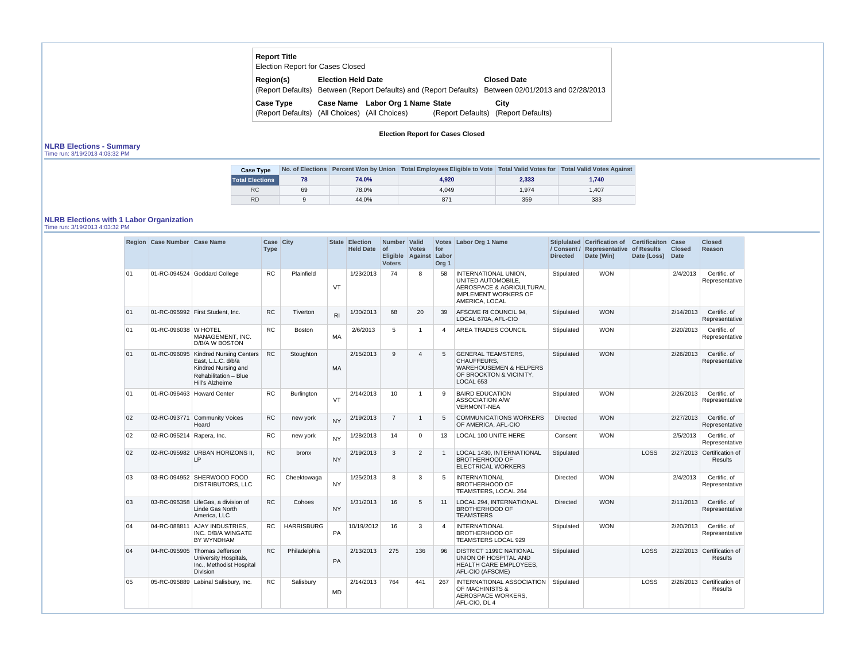| <b>Report Title</b><br><b>Election Report for Cases Closed</b>    |                           |                                                                   |                                                         |
|-------------------------------------------------------------------|---------------------------|-------------------------------------------------------------------|---------------------------------------------------------|
| Region(s)                                                         | <b>Election Held Date</b> | (Report Defaults) Between (Report Defaults) and (Report Defaults) | <b>Closed Date</b><br>Between 02/01/2013 and 02/28/2013 |
| <b>Case Type</b><br>(Report Defaults) (All Choices) (All Choices) |                           | Case Name Labor Org 1 Name State                                  | City<br>(Report Defaults) (Report Defaults)             |

### **Election Report for Cases Closed**

# **NLRB Elections - Summary**

|  | Time run: 3/19/2013 4:03:32 PM |  |
|--|--------------------------------|--|
|  |                                |  |

| <b>Case Type</b>       |    |       | No. of Elections Percent Won by Union   Total Employees Eligible to Vote   Total Valid Votes for   Total Valid Votes Against |       |       |
|------------------------|----|-------|------------------------------------------------------------------------------------------------------------------------------|-------|-------|
| <b>Total Elections</b> | 78 | 74.0% | 4.920                                                                                                                        | 2,333 | 1.740 |
| <b>RC</b>              | 69 | 78.0% | 4.049                                                                                                                        | 1.974 | 1.407 |
| <b>RD</b>              | 9  | 44.0% | 871                                                                                                                          | 359   | 333   |

# **NLRB Elections with 1 Labor Organization**

Time run: 3/19/2013 4:03:32 PM

|        | Region   Case Number   Case Name |                                                                                                                         | Case City<br><b>Type</b> |                   |                | State Election<br><b>Held Date</b> | Number Valid<br>$ $ of<br><b>Voters</b> | <b>Votes</b><br>Eligible Against Labor | for<br>Org <sub>1</sub> | Votes Labor Org 1 Name                                                                                                  | <b>Directed</b> | Stiplulated Cerification of Certificaiton Case<br>/ Consent / Representative of Results<br>Date (Win) | Date (Loss) | <b>Closed</b><br><b>Date</b> | <b>Closed</b><br><b>Reason</b>               |
|--------|----------------------------------|-------------------------------------------------------------------------------------------------------------------------|--------------------------|-------------------|----------------|------------------------------------|-----------------------------------------|----------------------------------------|-------------------------|-------------------------------------------------------------------------------------------------------------------------|-----------------|-------------------------------------------------------------------------------------------------------|-------------|------------------------------|----------------------------------------------|
| 01     |                                  | 01-RC-094524 Goddard College                                                                                            | <b>RC</b>                | Plainfield        | VT             | 1/23/2013                          | 74                                      | 8                                      | 58                      | INTERNATIONAL UNION,<br>UNITED AUTOMOBILE,<br>AEROSPACE & AGRICULTURAL<br><b>IMPLEMENT WORKERS OF</b><br>AMERICA, LOCAL | Stipulated      | <b>WON</b>                                                                                            |             | 2/4/2013                     | Certific. of<br>Representative               |
| 01     |                                  | 01-RC-095992 First Student, Inc.                                                                                        | <b>RC</b>                | Tiverton          | R <sub>l</sub> | 1/30/2013                          | 68                                      | 20                                     | 39                      | AFSCME RI COUNCIL 94,<br>LOCAL 670A, AFL-CIO                                                                            | Stipulated      | <b>WON</b>                                                                                            |             | 2/14/2013                    | Certific. of<br>Representative               |
| 01     | 01-RC-096038 W HOTEL             | MANAGEMENT, INC.<br>D/B/A W BOSTON                                                                                      | RC                       | Boston            | MA             | 2/6/2013                           | 5                                       | $\overline{1}$                         | 4                       | AREA TRADES COUNCIL                                                                                                     | Stipulated      | <b>WON</b>                                                                                            |             | 2/20/2013                    | Certific. of<br>Representative               |
| 01     | 01-RC-096095                     | <b>Kindred Nursing Centers</b><br>East, L.L.C. d/b/a<br>Kindred Nursing and<br>Rehabilitation - Blue<br>Hill's Alzheime | <b>RC</b>                | Stoughton         | <b>MA</b>      | 2/15/2013                          | 9                                       | $\overline{4}$                         | 5                       | <b>GENERAL TEAMSTERS.</b><br>CHAUFFEURS,<br><b>WAREHOUSEMEN &amp; HELPERS</b><br>OF BROCKTON & VICINITY,<br>LOCAL 653   | Stipulated      | <b>WON</b>                                                                                            |             | 2/26/2013                    | Certific. of<br>Representative               |
| 01     |                                  | 01-RC-096463 Howard Center                                                                                              | <b>RC</b>                | <b>Burlington</b> | <b>VT</b>      | 2/14/2013                          | 10                                      | $\overline{1}$                         | 9                       | <b>BAIRD EDUCATION</b><br><b>ASSOCIATION A/W</b><br><b>VERMONT-NEA</b>                                                  | Stipulated      | <b>WON</b>                                                                                            |             | 2/26/2013                    | Certific. of<br>Representative               |
| $02\,$ | 02-RC-093771                     | <b>Community Voices</b><br>Heard                                                                                        | <b>RC</b>                | new york          | <b>NY</b>      | 2/19/2013                          | $\overline{7}$                          | $\mathbf{1}$                           | 5                       | <b>COMMUNICATIONS WORKERS</b><br>OF AMERICA, AFL-CIO                                                                    | <b>Directed</b> | <b>WON</b>                                                                                            |             | 2/27/2013                    | Certific. of<br>Representative               |
| 02     | 02-RC-095214 Rapera, Inc.        |                                                                                                                         | RC                       | new york          | <b>NY</b>      | 1/28/2013                          | 14                                      | $\Omega$                               | 13                      | <b>LOCAL 100 UNITE HERE</b>                                                                                             | Consent         | <b>WON</b>                                                                                            |             | 2/5/2013                     | Certific. of<br>Representative               |
| 02     |                                  | 02-RC-095982 URBAN HORIZONS II,<br><b>LP</b>                                                                            | RC                       | bronx             | <b>NY</b>      | 2/19/2013                          | 3                                       | $\overline{2}$                         | $\mathbf{1}$            | LOCAL 1430, INTERNATIONAL<br><b>BROTHERHOOD OF</b><br>ELECTRICAL WORKERS                                                | Stipulated      |                                                                                                       | LOSS        |                              | 2/27/2013 Certification of<br><b>Results</b> |
| 03     | 03-RC-094952                     | SHERWOOD FOOD<br><b>DISTRIBUTORS, LLC</b>                                                                               | RC                       | Cheektowaga       | <b>NY</b>      | 1/25/2013                          | 8                                       | 3                                      | 5                       | <b>INTERNATIONAL</b><br><b>BROTHERHOOD OF</b><br>TEAMSTERS, LOCAL 264                                                   | <b>Directed</b> | <b>WON</b>                                                                                            |             | 2/4/2013                     | Certific. of<br>Representative               |
| 03     |                                  | 03-RC-095358 LifeGas, a division of<br>Linde Gas North<br>America, LLC                                                  | RC                       | Cohoes            | <b>NY</b>      | 1/31/2013                          | 16                                      | 5                                      | 11                      | LOCAL 294, INTERNATIONAL<br><b>BROTHERHOOD OF</b><br><b>TEAMSTERS</b>                                                   | <b>Directed</b> | <b>WON</b>                                                                                            |             | 2/11/2013                    | Certific. of<br>Representative               |
| 04     |                                  | 04-RC-088811 AJAY INDUSTRIES,<br>INC. D/B/A WINGATE<br>BY WYNDHAM                                                       | <b>RC</b>                | <b>HARRISBURG</b> | PA             | 10/19/2012                         | 16                                      | 3                                      | 4                       | <b>INTERNATIONAL</b><br><b>BROTHERHOOD OF</b><br><b>TEAMSTERS LOCAL 929</b>                                             | Stipulated      | <b>WON</b>                                                                                            |             | 2/20/2013                    | Certific, of<br>Representative               |
| 04     | 04-RC-095905                     | Thomas Jefferson<br>University Hospitals,<br>Inc., Methodist Hospital<br><b>Division</b>                                | <b>RC</b>                | Philadelphia      | <b>PA</b>      | 2/13/2013                          | 275                                     | 136                                    | 96                      | <b>DISTRICT 1199C NATIONAL</b><br>UNION OF HOSPITAL AND<br>HEALTH CARE EMPLOYEES,<br>AFL-CIO (AFSCME)                   | Stipulated      |                                                                                                       | LOSS        |                              | 2/22/2013 Certification of<br><b>Results</b> |
| 05     | 05-RC-095889                     | Labinal Salisbury, Inc.                                                                                                 | RC                       | Salisbury         | <b>MD</b>      | 2/14/2013                          | 764                                     | 441                                    | 267                     | INTERNATIONAL ASSOCIATION<br>OF MACHINISTS &<br>AEROSPACE WORKERS,<br>AFL-CIO, DL 4                                     | Stipulated      |                                                                                                       | <b>LOSS</b> |                              | 2/26/2013 Certification of<br><b>Results</b> |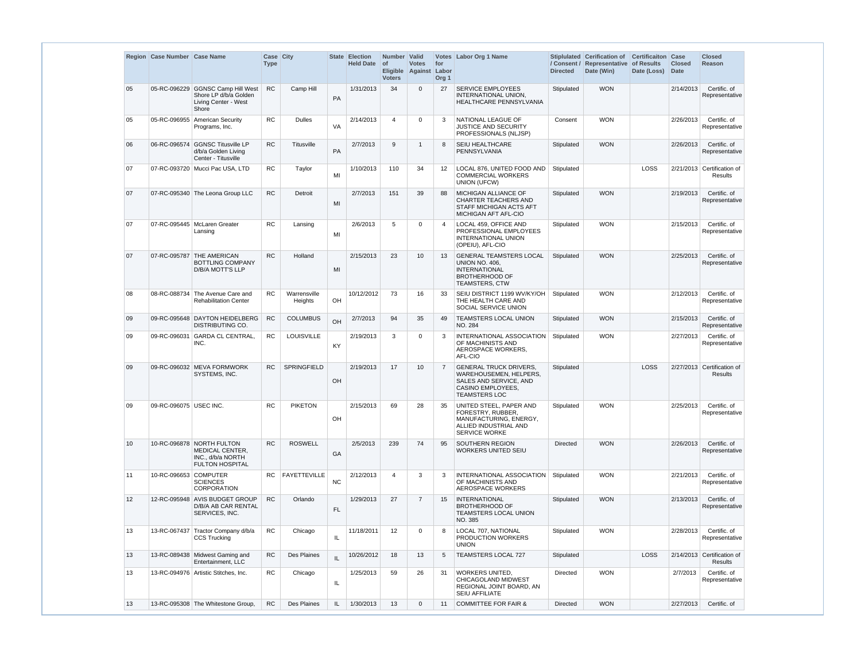|    | Region Case Number Case Name |                                                                                             | Case City<br><b>Type</b> |                         |               | <b>State Election</b><br><b>Held Date</b> | Number Valid<br>  of<br><b>Voters</b> | <b>Votes</b><br>Eligible Against | for<br>Labor<br>Org <sub>1</sub> | Votes   Labor Org 1 Name                                                                                                          | / Consent /<br><b>Directed</b> | Stiplulated Cerification of<br>Representative of Results<br>Date (Win) | <b>Certificaiton Case</b><br>Date (Loss) | <b>Closed</b><br><b>Date</b> | <b>Closed</b><br><b>Reason</b>               |
|----|------------------------------|---------------------------------------------------------------------------------------------|--------------------------|-------------------------|---------------|-------------------------------------------|---------------------------------------|----------------------------------|----------------------------------|-----------------------------------------------------------------------------------------------------------------------------------|--------------------------------|------------------------------------------------------------------------|------------------------------------------|------------------------------|----------------------------------------------|
| 05 |                              | 05-RC-096229 GGNSC Camp Hill West<br>Shore LP d/b/a Golden<br>Living Center - West<br>Shore | <b>RC</b>                | Camp Hill               | PA            | 1/31/2013                                 | 34                                    | $\Omega$                         | 27                               | <b>SERVICE EMPLOYEES</b><br>INTERNATIONAL UNION,<br>HEALTHCARE PENNSYLVANIA                                                       | Stipulated                     | <b>WON</b>                                                             |                                          | 2/14/2013                    | Certific. of<br>Representative               |
| 05 | 05-RC-096955                 | American Security<br>Programs, Inc.                                                         | <b>RC</b>                | <b>Dulles</b>           | <b>VA</b>     | 2/14/2013                                 | $\overline{4}$                        | $\Omega$                         | 3                                | NATIONAL LEAGUE OF<br><b>JUSTICE AND SECURITY</b><br>PROFESSIONALS (NLJSP)                                                        | Consent                        | <b>WON</b>                                                             |                                          | 2/26/2013                    | Certific. of<br>Representative               |
| 06 |                              | 06-RC-096574 GGNSC Titusville LP<br>d/b/a Golden Living<br>Center - Titusville              | RC                       | Titusville              | PA            | 2/7/2013                                  | 9                                     |                                  | 8                                | <b>SEIU HEALTHCARE</b><br>PENNSYLVANIA                                                                                            | Stipulated                     | <b>WON</b>                                                             |                                          | 2/26/2013                    | Certific. of<br>Representative               |
| 07 |                              | 07-RC-093720 Mucci Pac USA, LTD                                                             | <b>RC</b>                | Taylor                  | MI            | 1/10/2013                                 | 110                                   | 34                               | 12                               | LOCAL 876, UNITED FOOD AND<br><b>COMMERCIAL WORKERS</b><br><b>UNION (UFCW)</b>                                                    | Stipulated                     |                                                                        | LOSS                                     |                              | 2/21/2013 Certification of<br>Results        |
| 07 |                              | 07-RC-095340 The Leona Group LLC                                                            | <b>RC</b>                | Detroit                 | MI            | 2/7/2013                                  | 151                                   | 39                               | 88                               | <b>MICHIGAN ALLIANCE OF</b><br><b>CHARTER TEACHERS AND</b><br>STAFF MICHIGAN ACTS AFT<br>MICHIGAN AFT AFL-CIO                     | Stipulated                     | <b>WON</b>                                                             |                                          | 2/19/2013                    | Certific. of<br>Representative               |
| 07 |                              | 07-RC-095445 McLaren Greater<br>Lansing                                                     | RC                       | Lansing                 | MI            | 2/6/2013                                  | 5                                     | $\Omega$                         | $\overline{4}$                   | LOCAL 459, OFFICE AND<br>PROFESSIONAL EMPLOYEES<br><b>INTERNATIONAL UNION</b><br>(OPEIU), AFL-CIO                                 | Stipulated                     | <b>WON</b>                                                             |                                          | 2/15/2013                    | Certific. of<br>Representative               |
| 07 |                              | 07-RC-095787 THE AMERICAN<br><b>BOTTLING COMPANY</b><br>D/B/A MOTT'S LLP                    | RC                       | Holland                 | MI            | 2/15/2013                                 | 23                                    | 10                               | 13                               | <b>GENERAL TEAMSTERS LOCAL</b><br><b>UNION NO. 406.</b><br><b>INTERNATIONAL</b><br><b>BROTHERHOOD OF</b><br><b>TEAMSTERS, CTW</b> | Stipulated                     | <b>WON</b>                                                             |                                          | 2/25/2013                    | Certific. of<br>Representative               |
| 08 | 08-RC-088734                 | The Avenue Care and<br><b>Rehabilitation Center</b>                                         | <b>RC</b>                | Warrensville<br>Heights | OH            | 10/12/2012                                | 73                                    | 16                               | 33                               | SEIU DISTRICT 1199 WV/KY/OH<br>THE HEALTH CARE AND<br>SOCIAL SERVICE UNION                                                        | Stipulated                     | <b>WON</b>                                                             |                                          | 2/12/2013                    | Certific. of<br>Representative               |
| 09 |                              | 09-RC-095648 DAYTON HEIDELBERG<br><b>DISTRIBUTING CO.</b>                                   | RC                       | <b>COLUMBUS</b>         | OH            | 2/7/2013                                  | 94                                    | 35                               | 49                               | TEAMSTERS LOCAL UNION<br>NO. 284                                                                                                  | Stipulated                     | <b>WON</b>                                                             |                                          | 2/15/2013                    | Certific. of<br>Representative               |
| 09 | 09-RC-096031                 | <b>GARDA CL CENTRAL</b><br>INC.                                                             | RC                       | LOUISVILLE              | <b>KY</b>     | 2/19/2013                                 | 3                                     | $\Omega$                         | 3                                | INTERNATIONAL ASSOCIATION<br>OF MACHINISTS AND<br>AEROSPACE WORKERS,<br>AFL-CIO                                                   | Stipulated                     | <b>WON</b>                                                             |                                          | 2/27/2013                    | Certific. of<br>Representative               |
| 09 |                              | 09-RC-096032 MEVA FORMWORK<br>SYSTEMS, INC.                                                 | <b>RC</b>                | <b>SPRINGFIELD</b>      | $\mathsf{OH}$ | 2/19/2013                                 | 17                                    | 10                               | $\overline{7}$                   | <b>GENERAL TRUCK DRIVERS,</b><br>WAREHOUSEMEN, HELPERS,<br>SALES AND SERVICE, AND<br>CASINO EMPLOYEES,<br><b>TEAMSTERS LOC</b>    | Stipulated                     |                                                                        | LOSS                                     |                              | 2/27/2013 Certification of<br><b>Results</b> |
| 09 | 09-RC-096075 USEC INC.       |                                                                                             | <b>RC</b>                | <b>PIKETON</b>          | OH            | 2/15/2013                                 | 69                                    | 28                               | 35                               | UNITED STEEL, PAPER AND<br>FORESTRY, RUBBER,<br>MANUFACTURING, ENERGY,<br>ALLIED INDUSTRIAL AND<br><b>SERVICE WORKE</b>           | Stipulated                     | <b>WON</b>                                                             |                                          | 2/25/2013                    | Certific. of<br>Representative               |
| 10 |                              | 10-RC-096878 NORTH FULTON<br>MEDICAL CENTER,<br>INC., d/b/a NORTH<br><b>FULTON HOSPITAL</b> | <b>RC</b>                | <b>ROSWELL</b>          | GA            | 2/5/2013                                  | 239                                   | 74                               | 95                               | SOUTHERN REGION<br>WORKERS UNITED SEIU                                                                                            | <b>Directed</b>                | <b>WON</b>                                                             |                                          | 2/26/2013                    | Certific. of<br>Representative               |
| 11 | 10-RC-096653 COMPUTER        | <b>SCIENCES</b><br><b>CORPORATION</b>                                                       | RC.                      | <b>FAYETTEVILLE</b>     | <b>NC</b>     | 2/12/2013                                 | $\overline{4}$                        | 3                                | 3                                | INTERNATIONAL ASSOCIATION<br>OF MACHINISTS AND<br>AEROSPACE WORKERS                                                               | Stipulated                     | <b>WON</b>                                                             |                                          | 2/21/2013                    | Certific. of<br>Representative               |
| 12 |                              | 12-RC-095948 AVIS BUDGET GROUP<br>D/B/A AB CAR RENTAL<br>SERVICES, INC.                     | <b>RC</b>                | Orlando                 | <b>FL</b>     | 1/29/2013                                 | 27                                    | $\overline{7}$                   | 15                               | <b>INTERNATIONAL</b><br><b>BROTHERHOOD OF</b><br>TEAMSTERS LOCAL UNION<br>NO. 385                                                 | Stipulated                     | <b>WON</b>                                                             |                                          | 2/13/2013                    | Certific. of<br>Representative               |
| 13 |                              | 13-RC-067437 Tractor Company d/b/a<br>CCS Trucking                                          | <b>RC</b>                | Chicago                 | IL.           | 11/18/2011                                | 12                                    | 0                                | 8                                | LOCAL 707, NATIONAL<br><b>PRODUCTION WORKERS</b><br><b>UNION</b>                                                                  | Stipulated                     | <b>WON</b>                                                             |                                          | 2/28/2013                    | Certific. of<br>Representative               |
| 13 |                              | 13-RC-089438 Midwest Gaming and<br>Entertainment, LLC                                       | <b>RC</b>                | <b>Des Plaines</b>      | IL            | 10/26/2012                                | 18                                    | 13                               | -5                               | <b>TEAMSTERS LOCAL 727</b>                                                                                                        | Stipulated                     |                                                                        | <b>LOSS</b>                              |                              | 2/14/2013 Certification of<br><b>Results</b> |
| 13 |                              | 13-RC-094976 Artistic Stitches, Inc.                                                        | <b>RC</b>                | Chicago                 | IL.           | 1/25/2013                                 | 59                                    | 26                               | 31                               | WORKERS UNITED.<br>CHICAGOLAND MIDWEST<br>REGIONAL JOINT BOARD, AN<br>SEIU AFFILIATE                                              | Directed                       | <b>WON</b>                                                             |                                          | 2/7/2013                     | Certific. of<br>Representative               |
| 13 |                              | 13-RC-095308 The Whitestone Group,                                                          | <b>RC</b>                | Des Plaines             | IL.           | 1/30/2013                                 | 13                                    | $\Omega$                         | 11                               | <b>COMMITTEE FOR FAIR &amp;</b>                                                                                                   | <b>Directed</b>                | <b>WON</b>                                                             |                                          | 2/27/2013                    | Certific. of                                 |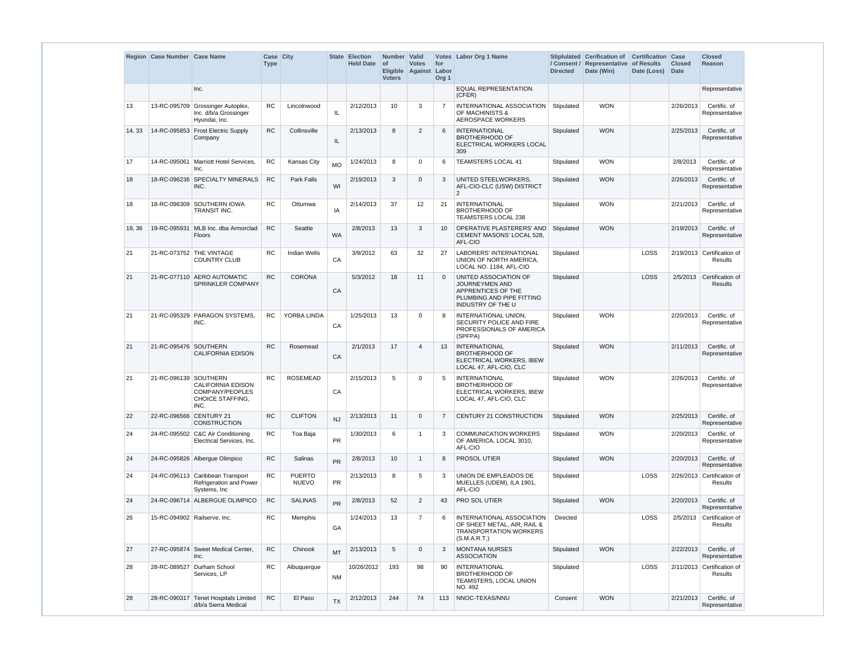|        | Region Case Number Case Name |                                                                              | Case City<br><b>Type</b> |                               |           | <b>State Election</b><br><b>Held Date</b> | Number Valid<br><b>of</b><br><b>Voters</b> | <b>Votes</b><br>Eligible Against | for<br>Labor<br>Org <sub>1</sub> | Votes Labor Org 1 Name                                                                                          | <b>Directed</b> | Stiplulated Cerification of<br>/ Consent / Representative of Results<br>Date (Win) | <b>Certificaiton Case</b><br>Date (Loss) | <b>Closed</b><br><b>Date</b> | <b>Closed</b><br><b>Reason</b>        |
|--------|------------------------------|------------------------------------------------------------------------------|--------------------------|-------------------------------|-----------|-------------------------------------------|--------------------------------------------|----------------------------------|----------------------------------|-----------------------------------------------------------------------------------------------------------------|-----------------|------------------------------------------------------------------------------------|------------------------------------------|------------------------------|---------------------------------------|
|        |                              | Inc.                                                                         |                          |                               |           |                                           |                                            |                                  |                                  | <b>EQUAL REPRESENTATION</b><br>(CFER)                                                                           |                 |                                                                                    |                                          |                              | Representative                        |
| 13     |                              | 13-RC-095709 Grossinger Autoplex,<br>Inc. d/b/a Grossinger<br>Hyundai, Inc.  | <b>RC</b>                | Lincolnwood                   | IL.       | 2/12/2013                                 | 10                                         | 3                                |                                  | INTERNATIONAL ASSOCIATION<br>OF MACHINISTS &<br><b>AEROSPACE WORKERS</b>                                        | Stipulated      | <b>WON</b>                                                                         |                                          | 2/26/2013                    | Certific. of<br>Representative        |
| 14, 33 |                              | 14-RC-095853 Frost Electric Supply<br>Company                                | RC                       | Collinsville                  | IL        | 2/13/2013                                 | 8                                          | $\overline{2}$                   | 6                                | <b>INTERNATIONAL</b><br><b>BROTHERHOOD OF</b><br>ELECTRICAL WORKERS LOCAL<br>309                                | Stipulated      | <b>WON</b>                                                                         |                                          | 2/25/2013                    | Certific. of<br>Representative        |
| 17     |                              | 14-RC-095061   Marriott Hotel Services,<br>Inc.                              | <b>RC</b>                | <b>Kansas City</b>            | <b>MO</b> | 1/24/2013                                 | 8                                          | 0                                | 6                                | <b>TEAMSTERS LOCAL 41</b>                                                                                       | Stipulated      | <b>WON</b>                                                                         |                                          | 2/8/2013                     | Certific. of<br>Representative        |
| 18     |                              | 18-RC-096236 SPECIALTY MINERALS<br>INC.                                      | <b>RC</b>                | Park Falls                    | WI        | 2/19/2013                                 | 3                                          | 0                                | 3                                | UNITED STEELWORKERS.<br>AFL-CIO-CLC (USW) DISTRICT<br>2                                                         | Stipulated      | <b>WON</b>                                                                         |                                          | 2/26/2013                    | Certific. of<br>Representative        |
| 18     |                              | 18-RC-096309 SOUTHERN IOWA<br>TRANSIT INC.                                   | <b>RC</b>                | Ottumwa                       | IA        | 2/14/2013                                 | 37                                         | 12                               | 21                               | <b>INTERNATIONAL</b><br><b>BROTHERHOOD OF</b><br>TEAMSTERS LOCAL 238                                            | Stipulated      | <b>WON</b>                                                                         |                                          | 2/21/2013                    | Certific. of<br>Representative        |
| 19, 36 |                              | 19-RC-095931 MLB Inc. dba Armorclad<br><b>Floors</b>                         | RC                       | Seattle                       | <b>WA</b> | 2/8/2013                                  | 13                                         | 3                                | 10                               | OPERATIVE PLASTERERS' AND<br>CEMENT MASONS' LOCAL 528.<br>AFL-CIO                                               | Stipulated      | <b>WON</b>                                                                         |                                          | 2/19/2013                    | Certific. of<br>Representative        |
| 21     |                              | 21-RC-073752 THE VINTAGE<br><b>COUNTRY CLUB</b>                              | <b>RC</b>                | <b>Indian Wells</b>           | CA        | 3/9/2012                                  | 63                                         | 32                               | 27                               | LABORERS' INTERNATIONAL<br>UNION OF NORTH AMERICA,<br>LOCAL NO. 1184, AFL-CIO                                   | Stipulated      |                                                                                    | LOSS                                     |                              | 2/19/2013 Certification of<br>Results |
| 21     |                              | 21-RC-077110 AERO AUTOMATIC<br><b>SPRINKLER COMPANY</b>                      | <b>RC</b>                | <b>CORONA</b>                 | CA        | 5/3/2012                                  | 18                                         | 11                               |                                  | UNITED ASSOCIATION OF<br>JOURNEYMEN AND<br>APPRENTICES OF THE<br>PLUMBING AND PIPE FITTING<br>INDUSTRY OF THE U | Stipulated      |                                                                                    | LOSS                                     | 2/5/2013                     | Certification of<br>Results           |
| 21     |                              | 21-RC-095329 PARAGON SYSTEMS.<br>INC.                                        | <b>RC</b>                | YORBA LINDA                   | CA        | 1/25/2013                                 | 13                                         | 0                                |                                  | INTERNATIONAL UNION,<br>SECURITY POLICE AND FIRE<br>PROFESSIONALS OF AMERICA<br>(SPFPA)                         | Stipulated      | <b>WON</b>                                                                         |                                          | 2/20/2013                    | Certific. of<br>Representative        |
| 21     | 21-RC-095476 SOUTHERN        | <b>CALIFORNIA EDISON</b>                                                     | <b>RC</b>                | Rosemead                      | CA        | 2/1/2013                                  | 17                                         | 4                                | 13                               | <b>INTERNATIONAL</b><br><b>BROTHERHOOD OF</b><br>ELECTRICAL WORKERS, IBEW<br>LOCAL 47, AFL-CIO, CLC             | Stipulated      | <b>WON</b>                                                                         |                                          | 2/11/2013                    | Certific. of<br>Representative        |
| 21     | 21-RC-096139 SOUTHERN        | <b>CALIFORNIA EDISON</b><br>COMPANY/PEOPLES<br>CHOICE STAFFING,<br>INC.      | <b>RC</b>                | <b>ROSEMEAD</b>               | CA        | 2/15/2013                                 | 5                                          | $\Omega$                         | 5                                | <b>INTERNATIONAL</b><br><b>BROTHERHOOD OF</b><br><b>ELECTRICAL WORKERS. IBEW</b><br>LOCAL 47, AFL-CIO, CLC      | Stipulated      | <b>WON</b>                                                                         |                                          | 2/26/2013                    | Certific. of<br>Representative        |
| 22     | 22-RC-096566 CENTURY 21      | <b>CONSTRUCTION</b>                                                          | RC                       | <b>CLIFTON</b>                | <b>NJ</b> | 2/13/2013                                 | 11                                         | 0                                | $\overline{7}$                   | <b>CENTURY 21 CONSTRUCTION</b>                                                                                  | Stipulated      | <b>WON</b>                                                                         |                                          | 2/25/2013                    | Certific, of<br>Representative        |
| 24     |                              | 24-RC-095502 C&C Air Conditioning<br>Electrical Services, Inc.               | <b>RC</b>                | Toa Baja                      | <b>PR</b> | 1/30/2013                                 | 6                                          | -1                               | 3                                | <b>COMMUNICATION WORKERS</b><br>OF AMERICA, LOCAL 3010,<br>AFL-CIO                                              | Stipulated      | <b>WON</b>                                                                         |                                          | 2/20/2013                    | Certific. of<br>Representative        |
| 24     |                              | 24-RC-095826 Albergue Olimpico                                               | RC                       | Salinas                       | <b>PR</b> | 2/8/2013                                  | 10                                         | $\mathbf 1$                      | -8                               | PROSOL UTIER                                                                                                    | Stipulated      | <b>WON</b>                                                                         |                                          | 2/20/2013                    | Certific. of<br>Representative        |
| 24     |                              | 24-RC-096113 Caribbean Transport<br>Refrigeration and Power<br>Systems, Inc. | <b>RC</b>                | <b>PUERTO</b><br><b>NUEVO</b> | <b>PR</b> | 2/13/2013                                 | 8                                          | 5                                |                                  | UNION DE EMPLEADOS DE<br>MUELLES (UDEM), ILA 1901,<br>AFL-CIO                                                   | Stipulated      |                                                                                    | LOSS                                     |                              | 2/26/2013 Certification of<br>Results |
| 24     |                              | 24-RC-096714 ALBERGUE OLIMPICO                                               | RC                       | <b>SALINAS</b>                | <b>PR</b> | 2/8/2013                                  | 52                                         | $\overline{2}$                   | 43                               | <b>PRO SOL UTIER</b>                                                                                            | Stipulated      | <b>WON</b>                                                                         |                                          | 2/20/2013                    | Certific. of<br>Representative        |
| 26     | 15-RC-094902 Railserve, Inc. |                                                                              | RC                       | Memphis                       | GA        | 1/24/2013                                 | 13                                         | $\overline{7}$                   | 6                                | INTERNATIONAL ASSOCIATION<br>OF SHEET METAL, AIR, RAIL &<br>TRANSPORTATION WORKERS<br>(S.M.A.R.T.)              | Directed        |                                                                                    | LOSS                                     | 2/5/2013                     | Certification of<br>Results           |
| 27     |                              | 27-RC-095874 Sweet Medical Center,<br>Inc.                                   | RC                       | Chinook                       | <b>MT</b> | 2/13/2013                                 | 5                                          | $\mathbf 0$                      | 3                                | <b>MONTANA NURSES</b><br><b>ASSOCIATION</b>                                                                     | Stipulated      | <b>WON</b>                                                                         |                                          | 2/22/2013                    | Certific. of<br>Representative        |
| 28     |                              | 28-RC-089527 Durham School<br>Services, LP                                   | <b>RC</b>                | Albuquerque                   | <b>NM</b> | 10/26/2012                                | 193                                        | 98                               | 90                               | <b>INTERNATIONAL</b><br><b>BROTHERHOOD OF</b><br>TEAMSTERS, LOCAL UNION<br>NO. 492                              | Stipulated      |                                                                                    | <b>LOSS</b>                              |                              | 2/11/2013 Certification of<br>Results |
| 28     |                              | 28-RC-090317 Tenet Hospitals Limited<br>d/b/a Sierra Medical                 | ${\sf RC}$               | El Paso                       | <b>TX</b> | 2/12/2013                                 | 244                                        | 74                               | 113                              | NNOC-TEXAS/NNU                                                                                                  | Consent         | <b>WON</b>                                                                         |                                          | 2/21/2013                    | Certific. of<br>Representative        |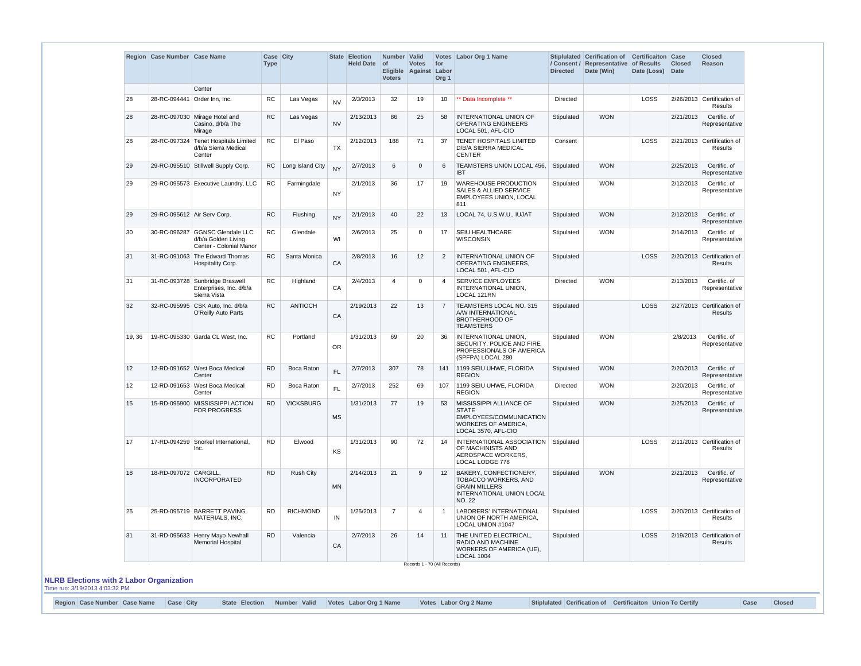|        | Region Case Number Case Name |                                                                                   | Case City<br><b>Type</b> |                   |           | State Election<br><b>Held Date</b> | Number Valid<br>$\circ$ f<br><b>Voters</b> | <b>Votes</b><br>Eligible Against Labor | for<br>Org <sub>1</sub> | Votes Labor Org 1 Name                                                                                                      | <b>Directed</b>           | Stiplulated Cerification of Certificaiton Case<br>/ Consent / Representative of Results<br>Date (Win) | Date (Loss) | <b>Closed</b><br>Date                        | <b>Closed</b><br>Reason                      |
|--------|------------------------------|-----------------------------------------------------------------------------------|--------------------------|-------------------|-----------|------------------------------------|--------------------------------------------|----------------------------------------|-------------------------|-----------------------------------------------------------------------------------------------------------------------------|---------------------------|-------------------------------------------------------------------------------------------------------|-------------|----------------------------------------------|----------------------------------------------|
|        |                              | Center                                                                            |                          |                   |           |                                    |                                            |                                        |                         |                                                                                                                             |                           |                                                                                                       |             |                                              |                                              |
| 28     | 28-RC-094441 Order Inn, Inc. |                                                                                   | <b>RC</b>                | Las Vegas         | <b>NV</b> | 2/3/2013                           | 32                                         | 19                                     | 10                      | ** Data Incomplete **                                                                                                       | Directed                  |                                                                                                       | LOSS        |                                              | 2/26/2013 Certification of<br><b>Results</b> |
| 28     |                              | 28-RC-097030 Mirage Hotel and<br>Casino, d/b/a The<br>Mirage                      | RC                       | Las Vegas         | <b>NV</b> | 2/13/2013                          | 86                                         | 25                                     | 58                      | INTERNATIONAL UNION OF<br>OPERATING ENGINEERS<br>LOCAL 501, AFL-CIO                                                         | Stipulated                | <b>WON</b>                                                                                            |             | 2/21/2013                                    | Certific. of<br>Representative               |
| 28     | 28-RC-097324                 | <b>Tenet Hospitals Limited</b><br>d/b/a Sierra Medical<br>Center                  | <b>RC</b>                | El Paso           | <b>TX</b> | 2/12/2013                          | 188                                        | 71                                     | 37                      | TENET HOSPITALS LIMITED<br>D/B/A SIERRA MEDICAL<br><b>CENTER</b>                                                            | Consent                   |                                                                                                       | LOSS        |                                              | 2/21/2013 Certification of<br><b>Results</b> |
| 29     |                              | 29-RC-095510 Stillwell Supply Corp.                                               | <b>RC</b>                | Long Island City  | <b>NY</b> | 2/7/2013                           | 6                                          | $\overline{0}$                         | 6                       | TEAMSTERS UNION LOCAL 456,<br><b>IBT</b>                                                                                    | Stipulated                | <b>WON</b>                                                                                            |             | 2/25/2013                                    | Certific. of<br>Representative               |
| 29     |                              | 29-RC-095573 Executive Laundry, LLC                                               | <b>RC</b>                | Farmingdale       | <b>NY</b> | 2/1/2013                           | 36                                         | 17                                     | 19                      | <b>WAREHOUSE PRODUCTION</b><br><b>SALES &amp; ALLIED SERVICE</b><br>EMPLOYEES UNION, LOCAL<br>811                           | <b>WON</b><br>Stipulated  |                                                                                                       |             | 2/12/2013                                    | Certific. of<br>Representative               |
| 29     | 29-RC-095612 Air Serv Corp.  |                                                                                   | RC                       | Flushing          | <b>NY</b> | 2/1/2013                           | 40                                         | 22                                     | 13                      | LOCAL 74, U.S.W.U., IUJAT                                                                                                   | Stipulated                | <b>WON</b>                                                                                            |             | 2/12/2013                                    | Certific. of<br>Representative               |
| 30     |                              | 30-RC-096287 GGNSC Glendale LLC<br>d/b/a Golden Living<br>Center - Colonial Manor | <b>RC</b>                | Glendale          | WI        | 2/6/2013                           | 25                                         | $\Omega$                               | 17                      | SEIU HEALTHCARE<br><b>WISCONSIN</b>                                                                                         | Stipulated                | <b>WON</b>                                                                                            |             | 2/14/2013                                    | Certific. of<br>Representative               |
| 31     | 31-RC-091063                 | The Edward Thomas<br>Hospitality Corp.                                            | <b>RC</b>                | Santa Monica      | CA        | 2/8/2013                           | 16                                         | 12                                     | 2                       | INTERNATIONAL UNION OF<br><b>OPERATING ENGINEERS.</b><br>LOCAL 501, AFL-CIO                                                 | Stipulated                |                                                                                                       | <b>LOSS</b> |                                              | 2/20/2013 Certification of<br><b>Results</b> |
| 31     |                              | 31-RC-093728 Sunbridge Braswell<br>Enterprises, Inc. d/b/a<br>Sierra Vista        | <b>RC</b>                | Highland          | CA        | 2/4/2013                           | $\boldsymbol{\Delta}$                      | $\Omega$                               | 4                       | SERVICE EMPLOYEES<br>INTERNATIONAL UNION,<br>LOCAL 121RN                                                                    | <b>Directed</b>           | <b>WON</b>                                                                                            |             | 2/13/2013                                    | Certific. of<br>Representative               |
| 32     | 32-RC-095995                 | CSK Auto, Inc. d/b/a<br>O'Reilly Auto Parts                                       | RC                       | <b>ANTIOCH</b>    | CA        | 2/19/2013                          | 22                                         | 13                                     | $\overline{7}$          | TEAMSTERS LOCAL NO. 315<br>A/W INTERNATIONAL<br><b>BROTHERHOOD OF</b><br><b>TEAMSTERS</b>                                   | <b>LOSS</b><br>Stipulated |                                                                                                       |             | 2/27/2013 Certification of<br><b>Results</b> |                                              |
| 19, 36 |                              | 19-RC-095330 Garda CL West, Inc.                                                  | <b>RC</b>                | Portland          | <b>OR</b> | 1/31/2013                          | 69                                         | 20                                     | 36                      | INTERNATIONAL UNION,<br>SECURITY, POLICE AND FIRE<br>PROFESSIONALS OF AMERICA<br>(SPFPA) LOCAL 280                          | <b>WON</b><br>Stipulated  |                                                                                                       |             | 2/8/2013                                     | Certific. of<br>Representative               |
| 12     |                              | 12-RD-091652 West Boca Medical<br>Center                                          | <b>RD</b>                | <b>Boca Raton</b> | FL.       | 2/7/2013                           | 307                                        | 78                                     | 141                     | 1199 SEIU UHWE, FLORIDA<br><b>REGION</b>                                                                                    | Stipulated                | <b>WON</b>                                                                                            |             | 2/20/2013                                    | Certific. of<br>Representative               |
| 12     |                              | 12-RD-091653 West Boca Medical<br>Center                                          | RD.                      | Boca Raton        | FL.       | 2/7/2013                           | 252                                        | 69                                     | 107                     | 1199 SEIU UHWE, FLORIDA<br><b>REGION</b>                                                                                    | Directed                  | <b>WON</b>                                                                                            |             | 2/20/2013                                    | Certific. of<br>Representative               |
| 15     |                              | 15-RD-095900 MISSISSIPPI ACTION<br><b>FOR PROGRESS</b>                            | <b>RD</b>                | <b>VICKSBURG</b>  | <b>MS</b> | 1/31/2013                          | 77                                         | 19                                     | 53                      | MISSISSIPPI ALLIANCE OF<br><b>STATE</b><br>EMPLOYEES/COMMUNICATION<br><b>WORKERS OF AMERICA,</b><br>LOCAL 3570, AFL-CIO     | Stipulated                | <b>WON</b>                                                                                            |             | 2/25/2013                                    | Certific. of<br>Representative               |
| 17     |                              | 17-RD-094259 Snorkel International,<br>Inc.                                       | <b>RD</b>                | Elwood            | KS        | 1/31/2013                          | 90                                         | 72                                     | 14                      | INTERNATIONAL ASSOCIATION<br>OF MACHINISTS AND<br>AEROSPACE WORKERS,<br>LOCAL LODGE 778                                     | Stipulated                |                                                                                                       | <b>LOSS</b> |                                              | 2/11/2013 Certification of<br>Results        |
| 18     | 18-RD-097072 CARGILL,        | <b>INCORPORATED</b>                                                               | <b>RD</b>                | <b>Rush City</b>  | <b>MN</b> | 2/14/2013                          | 21                                         | 9                                      | 12                      | <b>BAKERY, CONFECTIONERY,</b><br><b>TOBACCO WORKERS, AND</b><br><b>GRAIN MILLERS</b><br>INTERNATIONAL UNION LOCAL<br>NO. 22 | Stipulated                | <b>WON</b>                                                                                            |             | 2/21/2013                                    | Certific. of<br>Representative               |
| 25     |                              | 25-RD-095719 BARRETT PAVING<br>MATERIALS, INC.                                    | <b>RD</b>                | <b>RICHMOND</b>   | IN        | 1/25/2013                          | $\overline{7}$                             | $\overline{4}$                         | $\overline{1}$          | LABORERS' INTERNATIONAL<br>UNION OF NORTH AMERICA,<br>LOCAL UNION #1047                                                     | Stipulated                |                                                                                                       | LOSS        |                                              | 2/20/2013 Certification of<br>Results        |
| 31     |                              | 31-RD-095633 Henry Mayo Newhall<br><b>Memorial Hospital</b>                       | RD.                      | Valencia          | CA        | 2/7/2013                           | 26                                         | 14                                     | 11                      | THE UNITED ELECTRICAL,<br>RADIO AND MACHINE<br>WORKERS OF AMERICA (UE),<br><b>LOCAL 1004</b>                                | Stipulated                |                                                                                                       | <b>LOSS</b> |                                              | 2/19/2013 Certification of<br><b>Results</b> |

#### **NLRB Elections with 2 Labor Organization** Time run: 3/19/2013 4:03:32 PM